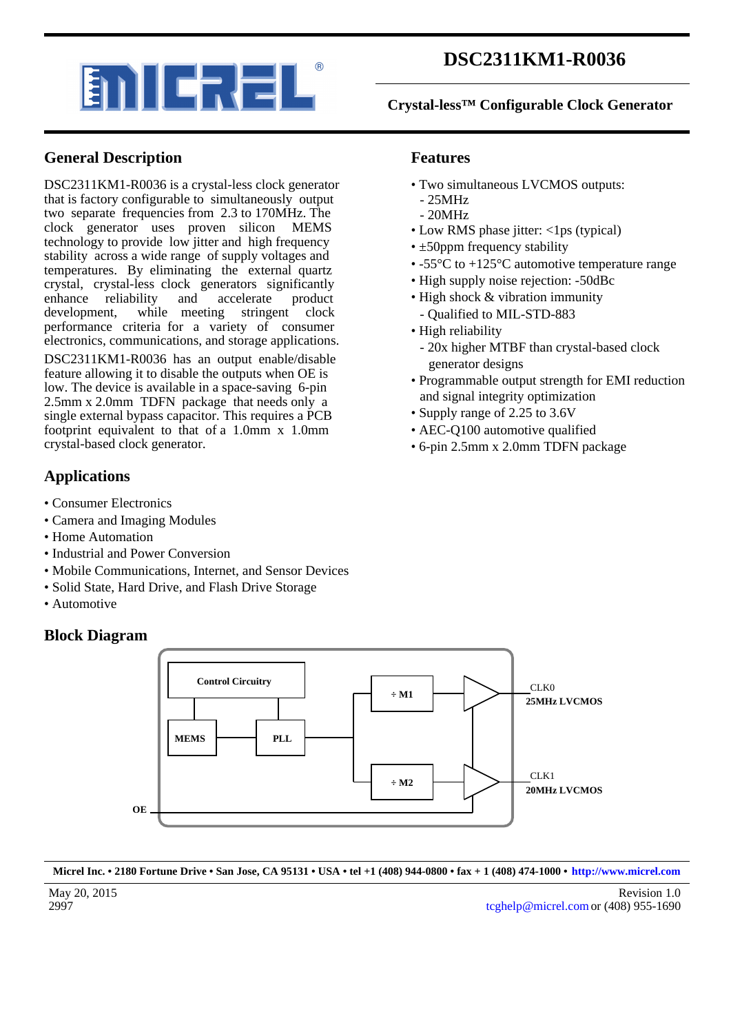

# **DSC2311KM1-R0036**

### **Crystal-less™ Configurable Clock Generator**

## **General Description**

DSC2311KM1-R0036 is a crystal-less clock generator that is factory configurable to simultaneously output two separate frequencies from 2.3 to 170MHz. The clock generator uses proven silicon MEMS technology to provide low jitter and high frequency stability across a wide range of supply voltages and temperatures. By eliminating the external quartz crystal, crystal-less clock generators significantly enhance reliability and accelerate product development, while meeting stringent clock development, while meeting stringent performance criteria for a variety of consumer electronics, communications, and storage applications.

DSC2311KM1-R0036 has an output enable/disable feature allowing it to disable the outputs when OE is low. The device is available in a space-saving 6-pin 2.5mm x 2.0mm TDFN package that needs only a single external bypass capacitor. This requires a PCB footprint equivalent to that of a 1.0mm x 1.0mm crystal-based clock generator.

## **Applications**

- Consumer Electronics
- Camera and Imaging Modules
- Home Automation
- Industrial and Power Conversion
- Mobile Communications, Internet, and Sensor Devices
- Solid State, Hard Drive, and Flash Drive Storage
- Automotive

### **Block Diagram**



- Two simultaneous LVCMOS outputs:
- 25MHz
- 20MHz
- Low RMS phase jitter: <1ps (typical)
- $\cdot$  ±50ppm frequency stability
- -55 °C to +125 °C automotive temperature range
- High supply noise rejection: -50dBc
- High shock & vibration immunity - Qualified to MIL-STD-883
- High reliability
	- 20x higher MTBF than crystal-based clock generator designs
- Programmable output strength for EMI reduction and signal integrity optimization
- Supply range of 2.25 to 3.6V
- AEC-O100 automotive qualified
- 6-pin 2.5mm x 2.0mm TDFN package



**Micrel Inc. • 2180 Fortune Drive • San Jose, CA 95131 • USA • tel +1 (408) 944-0800 • fax + 1 (408) 474-1000 • [http://www.micrel.com](http://www.micrel.com/)**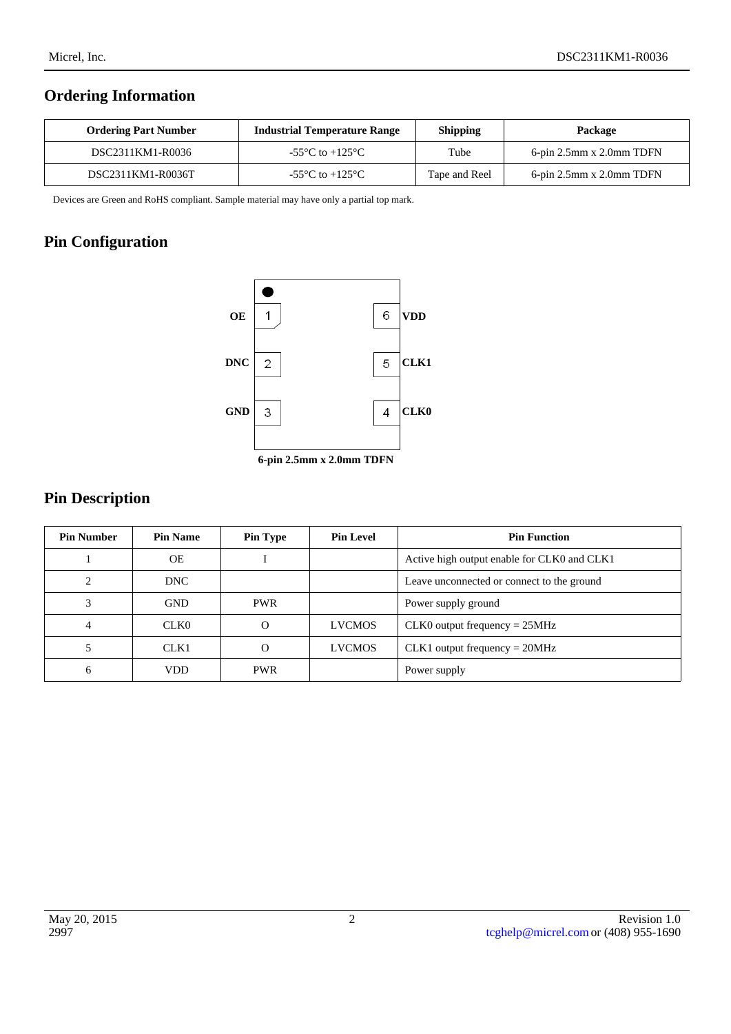## **Ordering Information**

| <b>Ordering Part Number</b> | <b>Industrial Temperature Range</b>                   | <b>Shipping</b> | Package                     |
|-----------------------------|-------------------------------------------------------|-----------------|-----------------------------|
| DSC2311KM1-R0036            | -55 $\mathrm{^{\circ}C}$ to +125 $\mathrm{^{\circ}C}$ | Tube            | $6$ -pin 2.5mm x 2.0mm TDFN |
| DSC2311KM1-R0036T           | -55 $\mathrm{^{\circ}C}$ to +125 $\mathrm{^{\circ}C}$ | Tape and Reel   | $6$ -pin 2.5mm x 2.0mm TDFN |

Devices are Green and RoHS compliant. Sample material may have only a partial top mark.

## **Pin Configuration**



## **Pin Description**

| <b>Pin Number</b> | <b>Pin Name</b>  | <b>Pin Type</b> | <b>Pin Level</b> | <b>Pin Function</b>                         |
|-------------------|------------------|-----------------|------------------|---------------------------------------------|
|                   | <b>OE</b>        |                 |                  | Active high output enable for CLK0 and CLK1 |
| ◠                 | DNC.             |                 |                  | Leave unconnected or connect to the ground  |
|                   | <b>GND</b>       | <b>PWR</b>      |                  | Power supply ground                         |
|                   | CLK <sub>0</sub> | O               | <b>LVCMOS</b>    | $CLK0$ output frequency = $25MHz$           |
|                   | CLK1             | Ω               | <b>LVCMOS</b>    | $CLK1$ output frequency = 20MHz             |
| 6                 | VDD              | <b>PWR</b>      |                  | Power supply                                |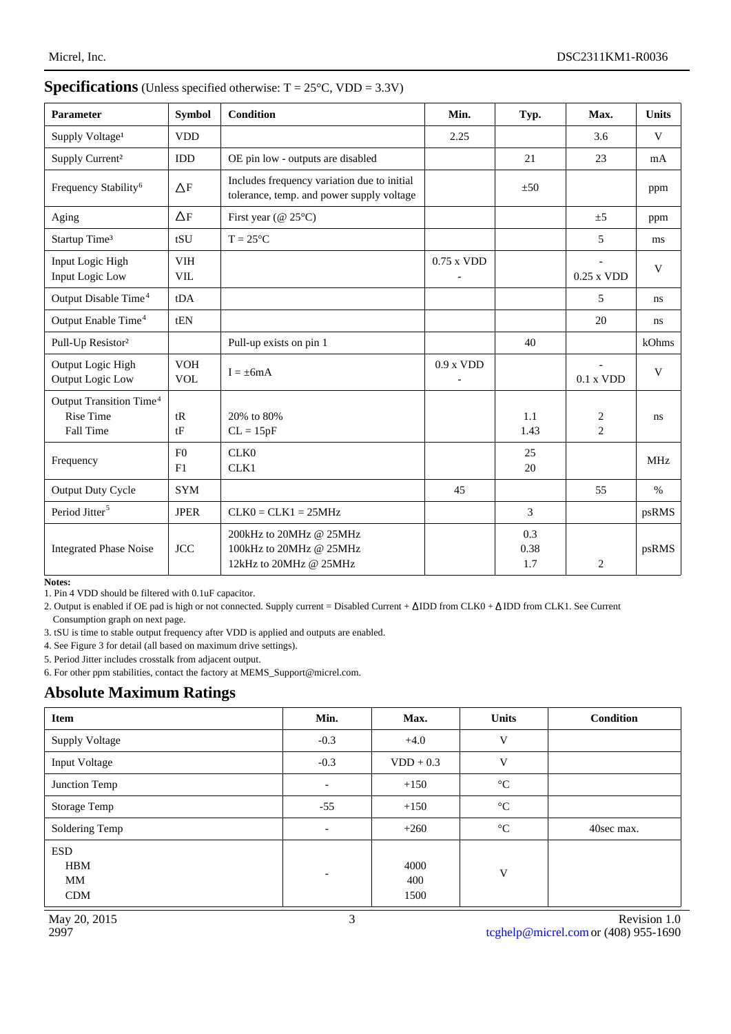| <b>Parameter</b>                                                     | <b>Symbol</b>            | <b>Condition</b>                                                                         | Min.         | Typ.               | Max.                | <b>Units</b> |
|----------------------------------------------------------------------|--------------------------|------------------------------------------------------------------------------------------|--------------|--------------------|---------------------|--------------|
| Supply Voltage <sup>1</sup>                                          | <b>VDD</b>               |                                                                                          | 2.25         |                    | 3.6                 | V            |
| Supply Current <sup>2</sup>                                          | IDD                      | OE pin low - outputs are disabled                                                        |              | 21                 | 23                  | mA           |
| Frequency Stability <sup>6</sup>                                     | $\Delta F$               | Includes frequency variation due to initial<br>tolerance, temp. and power supply voltage |              | ±50                |                     | ppm          |
| Aging                                                                | $\Delta F$               | First year ( $@ 25°C$ )                                                                  |              |                    | $\pm 5$             | ppm          |
| Startup Time <sup>3</sup>                                            | tSU                      | $T = 25^{\circ}C$                                                                        |              |                    | 5                   | ms           |
| Input Logic High<br>Input Logic Low                                  | <b>VIH</b><br><b>VIL</b> |                                                                                          | $0.75$ x VDD |                    | $0.25$ x VDD        | V            |
| Output Disable Time <sup>4</sup>                                     | tDA                      |                                                                                          |              |                    | 5                   | ns           |
| Output Enable Time <sup>4</sup>                                      | tEN                      |                                                                                          |              |                    | 20                  | ns           |
| Pull-Up Resistor <sup>2</sup>                                        |                          | Pull-up exists on pin 1                                                                  |              | 40                 |                     | kOhms        |
| Output Logic High<br>Output Logic Low                                | <b>VOH</b><br><b>VOL</b> | $I = \pm 6mA$                                                                            | $0.9$ x VDD  |                    | 0.1 x VDD           | $\mathbf V$  |
| Output Transition Time <sup>4</sup><br><b>Rise Time</b><br>Fall Time | tR<br>tF                 | 20% to 80%<br>$CL = 15pF$                                                                |              | 1.1<br>1.43        | $\overline{c}$<br>2 | ns           |
| Frequency                                                            | F <sub>0</sub><br>F1     | CLK0<br>CLK1                                                                             |              | 25<br>20           |                     | <b>MHz</b>   |
| <b>Output Duty Cycle</b>                                             | <b>SYM</b>               |                                                                                          | 45           |                    | 55                  | $\%$         |
| Period Jitter <sup>5</sup>                                           | <b>JPER</b>              | $CLK0 = CLK1 = 25MHz$                                                                    |              | 3                  |                     | psRMS        |
| <b>Integrated Phase Noise</b>                                        | <b>JCC</b>               | 200kHz to 20MHz @ 25MHz<br>100kHz to 20MHz @ 25MHz<br>12kHz to 20MHz @ 25MHz             |              | 0.3<br>0.38<br>1.7 | $\overline{2}$      | psRMS        |

#### **Specifications** (Unless specified otherwise:  $T = 25^{\circ}C$ , VDD = 3.3V)

**Notes:**

1. Pin 4 VDD should be filtered with 0.1uF capacitor.

2. Output is enabled if OE pad is high or not connected. Supply current = Disabled Current +  $\Delta$ IDD from CLK0 +  $\Delta$ IDD from CLK1. See Current Consumption graph on next page.

3. tSU is time to stable output frequency after VDD is applied and outputs are enabled.

4. See Figure 3 for detail (all based on maximum drive settings).

5. Period Jitter includes crosstalk from adjacent output.

6. For other ppm stabilities, contact the factory at MEMS\_Support@micrel.com.

## **Absolute Maximum Ratings**

| Item                                         | Min.                     | Max.                | <b>Units</b>    | <b>Condition</b> |
|----------------------------------------------|--------------------------|---------------------|-----------------|------------------|
| <b>Supply Voltage</b>                        | $-0.3$                   | $+4.0$              | V               |                  |
| Input Voltage                                | $-0.3$                   | $VDD + 0.3$         | V               |                  |
| Junction Temp                                | $\overline{\phantom{a}}$ | $+150$              | $\rm ^{\circ}C$ |                  |
| <b>Storage Temp</b>                          | $-55$                    | $+150$              | $\rm ^{\circ}C$ |                  |
| Soldering Temp                               | $\overline{\phantom{a}}$ | $+260$              | $\rm ^{\circ}C$ | 40sec max.       |
| <b>ESD</b><br><b>HBM</b><br>MM<br><b>CDM</b> | ٠                        | 4000<br>400<br>1500 | V               |                  |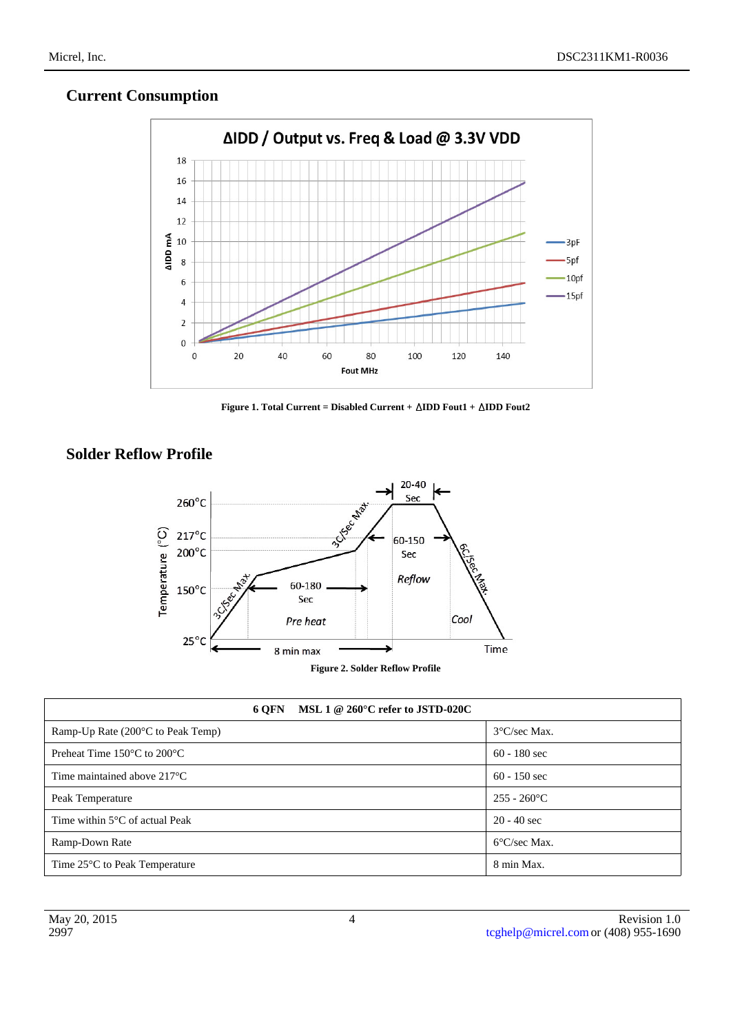## **Current Consumption**



**Figure 1. Total Current = Disabled Current +**  $\triangle IDD$  **Fout1 +**  $\triangle IDD$  **Fout2** 

## **Solder Reflow Profile**



| 6 OFN MSL 1 @ 260 $\degree$ C refer to JSTD-020C |                        |  |  |
|--------------------------------------------------|------------------------|--|--|
| Ramp-Up Rate $(200^{\circ}C)$ to Peak Temp)      | $3^{\circ}$ C/sec Max. |  |  |
| Preheat Time $150^{\circ}$ C to $200^{\circ}$ C  | $60 - 180$ sec         |  |  |
| Time maintained above $217^{\circ}$ C            | $60 - 150$ sec         |  |  |
| Peak Temperature                                 | $255 - 260$ °C         |  |  |
| Time within $5^{\circ}$ C of actual Peak         | $20 - 40$ sec          |  |  |
| Ramp-Down Rate                                   | $6^{\circ}$ C/sec Max. |  |  |
| Time 25 <sup>°</sup> C to Peak Temperature       | 8 min Max.             |  |  |